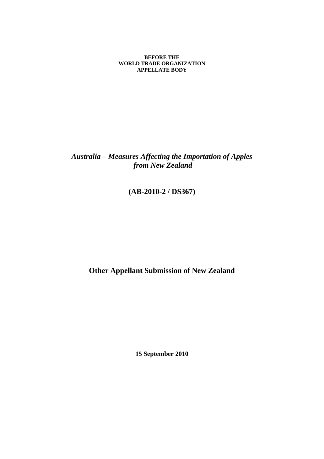**BEFORE THE WORLD TRADE ORGANIZATION APPELLATE BODY** 

*Australia – Measures Affecting the Importation of Apples from New Zealand* 

**(AB-2010-2 / DS367)** 

**Other Appellant Submission of New Zealand** 

**15 September 2010**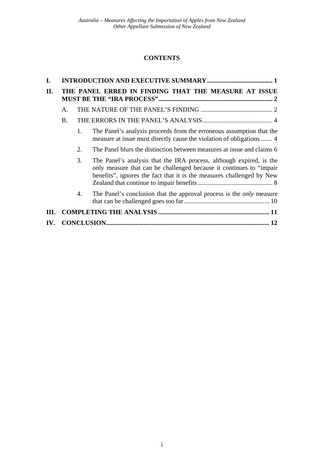# **CONTENTS**

| I.   |                                                      |    |                                                                                                                                                                                                                      |  |
|------|------------------------------------------------------|----|----------------------------------------------------------------------------------------------------------------------------------------------------------------------------------------------------------------------|--|
| II.  | THE PANEL ERRED IN FINDING THAT THE MEASURE AT ISSUE |    |                                                                                                                                                                                                                      |  |
|      | A.                                                   |    |                                                                                                                                                                                                                      |  |
|      | B.                                                   |    |                                                                                                                                                                                                                      |  |
|      |                                                      | 1. | The Panel's analysis proceeds from the erroneous assumption that the<br>measure at issue must directly cause the violation of obligations  4                                                                         |  |
|      |                                                      | 2. | The Panel blurs the distinction between measures at issue and claims 6                                                                                                                                               |  |
|      |                                                      | 3. | The Panel's analysis that the IRA process, although expired, is the<br>only measure that can be challenged because it continues to "impair"<br>benefits", ignores the fact that it is the measures challenged by New |  |
|      |                                                      | 4. | The Panel's conclusion that the approval process is the <i>only</i> measure                                                                                                                                          |  |
| III. |                                                      |    |                                                                                                                                                                                                                      |  |
| IV.  |                                                      |    |                                                                                                                                                                                                                      |  |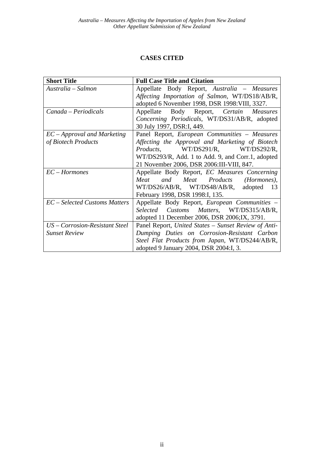# **CASES CITED**

| <b>Short Title</b>             | <b>Full Case Title and Citation</b>                  |
|--------------------------------|------------------------------------------------------|
| Australia – Salmon             | Appellate Body Report, Australia - Measures          |
|                                | Affecting Importation of Salmon, WT/DS18/AB/R,       |
|                                | adopted 6 November 1998, DSR 1998: VIII, 3327.       |
| Canada - Periodicals           | Body Report, Certain Measures<br>Appellate           |
|                                | Concerning Periodicals, WT/DS31/AB/R, adopted        |
|                                | 30 July 1997, DSR:I, 449.                            |
| $EC$ – Approval and Marketing  | Panel Report, European Communities - Measures        |
| of Biotech Products            | Affecting the Approval and Marketing of Biotech      |
|                                | Products, WT/DS291/R, WT/DS292/R,                    |
|                                | WT/DS293/R, Add. 1 to Add. 9, and Corr.1, adopted    |
|                                | 21 November 2006, DSR 2006:III-VIII, 847.            |
| $EC-Hormones$                  | Appellate Body Report, EC Measures Concerning        |
|                                | Meat and Meat Products (Hormones),                   |
|                                | WT/DS26/AB/R, WT/DS48/AB/R, adopted<br>-13           |
|                                | February 1998, DSR 1998:I, 135.                      |
| EC – Selected Customs Matters  | Appellate Body Report, <i>European Communities</i> – |
|                                | Selected Customs Matters, WT/DS315/AB/R,             |
|                                | adopted 11 December 2006, DSR 2006; IX, 3791.        |
| US - Corrosion-Resistant Steel | Panel Report, United States - Sunset Review of Anti- |
| <b>Sunset Review</b>           | Dumping Duties on Corrosion-Resistant Carbon         |
|                                | Steel Flat Products from Japan, WT/DS244/AB/R,       |
|                                | adopted 9 January 2004, DSR 2004:I, 3.               |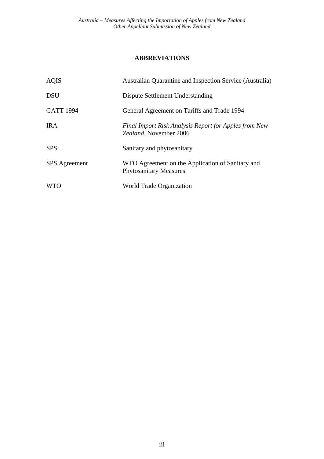# **ABBREVIATIONS**

| <b>AQIS</b>          | Australian Quarantine and Inspection Service (Australia)                          |
|----------------------|-----------------------------------------------------------------------------------|
| <b>DSU</b>           | Dispute Settlement Understanding                                                  |
| <b>GATT 1994</b>     | General Agreement on Tariffs and Trade 1994                                       |
| <b>IRA</b>           | Final Import Risk Analysis Report for Apples from New<br>Zealand, November 2006   |
| <b>SPS</b>           | Sanitary and phytosanitary                                                        |
| <b>SPS</b> Agreement | WTO Agreement on the Application of Sanitary and<br><b>Phytosanitary Measures</b> |
| <b>WTO</b>           | World Trade Organization                                                          |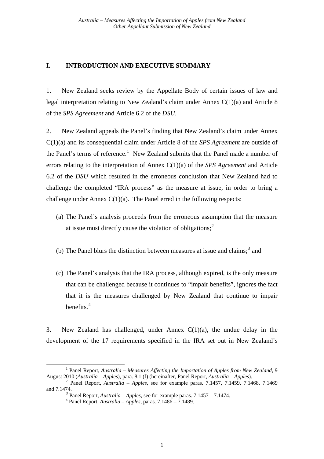## <span id="page-4-0"></span>**I. INTRODUCTION AND EXECUTIVE SUMMARY**

1. New Zealand seeks review by the Appellate Body of certain issues of law and legal interpretation relating to New Zealand's claim under Annex C(1)(a) and Article 8 of the *SPS Agreement* and Article 6.2 of the *DSU*.

2. New Zealand appeals the Panel's finding that New Zealand's claim under Annex C(1)(a) and its consequential claim under Article 8 of the *SPS Agreement* are outside of the Panel's terms of reference.<sup>[1](#page-4-1)</sup> New Zealand submits that the Panel made a number of errors relating to the interpretation of Annex C(1)(a) of the *SPS Agreement* and Article 6.2 of the *DSU* which resulted in the erroneous conclusion that New Zealand had to challenge the completed "IRA process" as the measure at issue, in order to bring a challenge under Annex  $C(1)(a)$ . The Panel erred in the following respects:

- (a) The Panel's analysis proceeds from the erroneous assumption that the measure at issue must directly cause the violation of obligations; $<sup>2</sup>$  $<sup>2</sup>$  $<sup>2</sup>$ </sup>
- (b) The Panel blurs the distinction between measures at issue and claims;<sup>[3](#page-4-3)</sup> and
- (c) The Panel's analysis that the IRA process, although expired, is the only measure that can be challenged because it continues to "impair benefits", ignores the fact that it is the measures challenged by New Zealand that continue to impair benefits.[4](#page-4-4)

3. New Zealand has challenged, under Annex  $C(1)(a)$ , the undue delay in the development of the 17 requirements specified in the IRA set out in New Zealand's

<span id="page-4-1"></span> $\frac{1}{1}$ <sup>1</sup> Panel Report, *Australia – Measures Affecting the Importation of Apples from New Zealand*, 9 August 2010 (*Australia – Apples*), para. 8.1 (f) (hereinafter, Panel Report, *Australia – Apples*). 2 Panel Report, *Australia – Apples,* see for example paras. 7.1457, 7.1459, 7.1468, 7.1469

<span id="page-4-4"></span><span id="page-4-3"></span><span id="page-4-2"></span>and 7.1474.

<sup>&</sup>lt;sup>3</sup> Panel Report, *Australia – Apples*, see for example paras. 7.1457 – 7.1474.<br><sup>4</sup> Panel Report, *Australia – Apples*, paras. 7.1486 – 7.1489.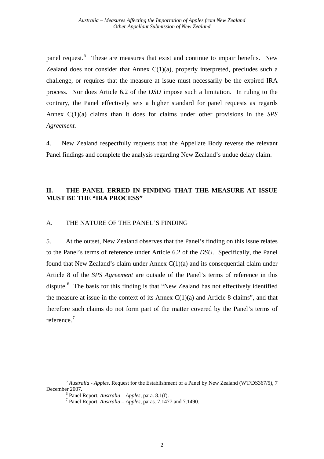<span id="page-5-0"></span>panel request.<sup>[5](#page-5-1)</sup> These are measures that exist and continue to impair benefits. New Zealand does not consider that Annex  $C(1)(a)$ , properly interpreted, precludes such a challenge, or requires that the measure at issue must necessarily be the expired IRA process. Nor does Article 6.2 of the *DSU* impose such a limitation. In ruling to the contrary, the Panel effectively sets a higher standard for panel requests as regards Annex C(1)(a) claims than it does for claims under other provisions in the *SPS Agreement.*

4. New Zealand respectfully requests that the Appellate Body reverse the relevant Panel findings and complete the analysis regarding New Zealand's undue delay claim.

# **II. THE PANEL ERRED IN FINDING THAT THE MEASURE AT ISSUE MUST BE THE "IRA PROCESS"**

#### A. THE NATURE OF THE PANEL'S FINDING

5. At the outset, New Zealand observes that the Panel's finding on this issue relates to the Panel's terms of reference under Article 6.2 of the *DSU*. Specifically, the Panel found that New Zealand's claim under Annex C(1)(a) and its consequential claim under Article 8 of the *SPS Agreement* are outside of the Panel's terms of reference in this dispute.<sup>[6](#page-5-2)</sup> The basis for this finding is that "New Zealand has not effectively identified the measure at issue in the context of its Annex  $C(1)(a)$  and Article 8 claims", and that therefore such claims do not form part of the matter covered by the Panel's terms of reference.<sup>[7](#page-5-3)</sup>

<span id="page-5-3"></span><span id="page-5-2"></span><span id="page-5-1"></span><sup>5</sup> *Australia - Apples*, Request for the Establishment of a Panel by New Zealand (WT/DS367/5), 7 December 2007.

 $6$  Panel Report, *Australia – Apples*, para. 8.1(f).

Panel Report, *Australia – Apples,* paras. 7.1477 and 7.1490.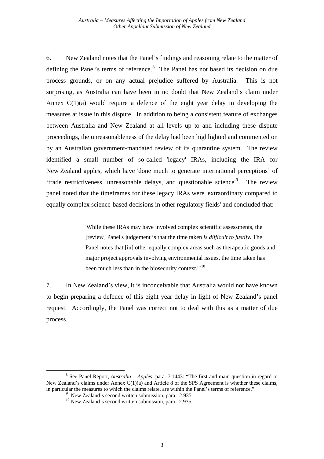6. New Zealand notes that the Panel's findings and reasoning relate to the matter of defining the Panel's terms of reference.<sup>[8](#page-6-0)</sup> The Panel has not based its decision on due process grounds, or on any actual prejudice suffered by Australia. This is not surprising, as Australia can have been in no doubt that New Zealand's claim under Annex  $C(1)(a)$  would require a defence of the eight year delay in developing the measures at issue in this dispute. In addition to being a consistent feature of exchanges between Australia and New Zealand at all levels up to and including these dispute proceedings, the unreasonableness of the delay had been highlighted and commented on by an Australian government-mandated review of its quarantine system. The review identified a small number of so-called 'legacy' IRAs, including the IRA for New Zealand apples, which have 'done much to generate international perceptions' of 'trade restrictiveness, unreasonable delays, and questionable science'[9](#page-6-1) . The review panel noted that the timeframes for these legacy IRAs were 'extraordinary compared to equally complex science-based decisions in other regulatory fields' and concluded that:

> 'While these IRAs may have involved complex scientific assessments, the [review] Panel's judgement is that the time taken *is difficult to justify*. The Panel notes that [in] other equally complex areas such as therapeutic goods and major project approvals involving environmental issues, the time taken has been much less than in the biosecurity context."<sup>[10](#page-6-2)</sup>

7. In New Zealand's view, it is inconceivable that Australia would not have known to begin preparing a defence of this eight year delay in light of New Zealand's panel request. Accordingly, the Panel was correct not to deal with this as a matter of due process.

<span id="page-6-2"></span><span id="page-6-1"></span><span id="page-6-0"></span> $\begin{array}{c|c}\n\hline\n\text{1} & \text{2} & \text{3} \\
\hline\n\text{2} & \text{3} & \text{4}\n\end{array}$  See Panel Report, *Australia – Apples,* para. 7.1443: "The first and main question in regard to New Zealand's claims under Annex  $C(1)(a)$  and Article 8 of the SPS Agreement is whether these claims, in particular the measures to which the claims relate, are within the Panel's terms of reference."<br><sup>9</sup> New Zealand's second written submission, para. 2.935. 9

 $10$  New Zealand's second written submission, para. 2.935.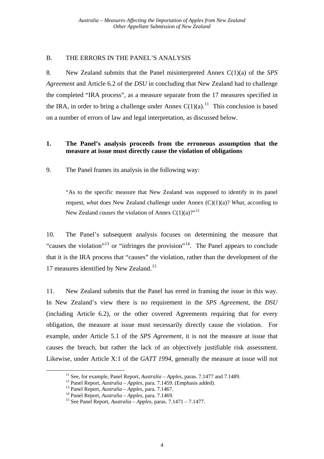### <span id="page-7-0"></span>B. THE ERRORS IN THE PANEL'S ANALYSIS

8. New Zealand submits that the Panel misinterpreted Annex C(1)(a) of the *SPS Agreement* and Article 6.2 of the *DSU* in concluding that New Zealand had to challenge the completed "IRA process", as a measure separate from the 17 measures specified in the IRA, in order to bring a challenge under Annex  $C(1)(a)$ .<sup>[11](#page-7-1)</sup> This conclusion is based on a number of errors of law and legal interpretation, as discussed below.

### **1. The Panel's analysis proceeds from the erroneous assumption that the measure at issue must directly cause the violation of obligations**

9. The Panel frames its analysis in the following way:

"As to the specific measure that New Zealand was supposed to identify in its panel request, *what* does New Zealand challenge under Annex (C)(1)(a)? *What*, according to New Zealand *causes* the violation of Annex C(1)(a)?"<sup>[12](#page-7-2)</sup>

10. The Panel's subsequent analysis focuses on determining the measure that "causes the violation"<sup>[13](#page-7-3)</sup> or "infringes the provision"<sup>[14](#page-7-4)</sup>. The Panel appears to conclude that it is the IRA process that "causes" the violation, rather than the development of the 17 measures identified by New Zealand.<sup>[15](#page-7-5)</sup>

11. New Zealand submits that the Panel has erred in framing the issue in this way. In New Zealand's view there is no requirement in the *SPS Agreement*, the *DSU* (including Article 6.2), or the other covered Agreements requiring that for every obligation, the measure at issue must necessarily directly cause the violation. For example, under Article 5.1 of the *SPS Agreement*, it is not the measure at issue that causes the breach, but rather the lack of an objectively justifiable risk assessment. Likewise, under Article X:1 of the *GATT 1994*, generally the measure at issue will not

<span id="page-7-2"></span><span id="page-7-1"></span><sup>&</sup>lt;sup>11</sup> See, for example, Panel Report, *Australia – Apples*, paras. 7.1477 and 7.1489.<br><sup>12</sup> Panel Report, *Australia – Apples*, para. 7.1459. (Emphasis added).<br><sup>13</sup> Panel Report, *Australia – Apples*, para. 7.1467.<br><sup>14</sup> Pan

<span id="page-7-3"></span>

<span id="page-7-5"></span><span id="page-7-4"></span>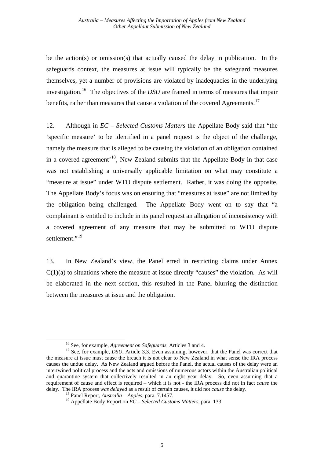be the action(s) or omission(s) that actually caused the delay in publication. In the safeguards context, the measures at issue will typically be the safeguard measures themselves, yet a number of provisions are violated by inadequacies in the underlying investigation.[16](#page-8-0) The objectives of the *DSU* are framed in terms of measures that impair benefits, rather than measures that cause a violation of the covered Agreements.<sup>[17](#page-8-1)</sup>

12. Although in *EC – Selected Customs Matters* the Appellate Body said that "the 'specific measure' to be identified in a panel request is the object of the challenge, namely the measure that is alleged to be causing the violation of an obligation contained in a covered agreement<sup>[18](#page-8-2)</sup>, New Zealand submits that the Appellate Body in that case was not establishing a universally applicable limitation on what may constitute a "measure at issue" under WTO dispute settlement. Rather, it was doing the opposite. The Appellate Body's focus was on ensuring that "measures at issue" are not limited by the obligation being challenged. The Appellate Body went on to say that "a complainant is entitled to include in its panel request an allegation of inconsistency with a covered agreement of any measure that may be submitted to WTO dispute settlement."<sup>[19](#page-8-3)</sup>

13. In New Zealand's view, the Panel erred in restricting claims under Annex  $C(1)(a)$  to situations where the measure at issue directly "causes" the violation. As will be elaborated in the next section, this resulted in the Panel blurring the distinction between the measures at issue and the obligation.

<span id="page-8-1"></span><span id="page-8-0"></span><sup>&</sup>lt;sup>16</sup> See, for example, *Agreement on Safeguards*, Articles 3 and 4.<br><sup>17</sup> See, for example, *DSU*, Article 3.3. Even assuming, however, that the Panel was correct that the measure at issue must cause the breach it is not clear to New Zealand in what sense the IRA process causes the undue delay. As New Zealand argued before the Panel, the actual causes of the delay were an intertwined political process and the acts and omissions of numerous actors within the Australian political and quarantine system that collectively resulted in an eight year delay. So, even assuming that a requirement of cause and effect is required – which it is not - the IRA process did not in fact *cause* the delay. The IRA process *was delayed* as a result of certain causes, it did not *cause* the delay. 18 Panel Report, *Australia – Apples*, para. 7.1457.

<span id="page-8-3"></span><span id="page-8-2"></span><sup>19</sup> Appellate Body Report on *EC – Selected Customs Matters*, para. 133.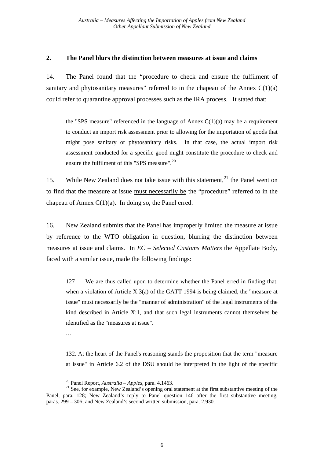#### <span id="page-9-0"></span>**2. The Panel blurs the distinction between measures at issue and claims**

14. The Panel found that the "procedure to check and ensure the fulfilment of sanitary and phytosanitary measures" referred to in the chapeau of the Annex  $C(1)(a)$ could refer to quarantine approval processes such as the IRA process. It stated that:

the "SPS measure" referenced in the language of Annex  $C(1)(a)$  may be a requirement to conduct an import risk assessment prior to allowing for the importation of goods that might pose sanitary or phytosanitary risks. In that case, the actual import risk assessment conducted for a specific good might constitute the procedure to check and ensure the fulfilment of this "SPS measure".<sup>[20](#page-9-1)</sup>

15. While New Zealand does not take issue with this statement,  $2<sup>1</sup>$  the Panel went on to find that the measure at issue must necessarily be the "procedure" referred to in the chapeau of Annex  $C(1)(a)$ . In doing so, the Panel erred.

16. New Zealand submits that the Panel has improperly limited the measure at issue by reference to the WTO obligation in question, blurring the distinction between measures at issue and claims. In *EC – Selected Customs Matters* the Appellate Body, faced with a similar issue, made the following findings:

127 We are thus called upon to determine whether the Panel erred in finding that, when a violation of Article X:3(a) of the GATT 1994 is being claimed, the "measure at issue" must necessarily be the "manner of administration" of the legal instruments of the kind described in Article X:1, and that such legal instruments cannot themselves be identified as the "measures at issue".

…

132. At the heart of the Panel's reasoning stands the proposition that the term "measure at issue" in Article 6.2 of the DSU should be interpreted in the light of the specific

<span id="page-9-2"></span><span id="page-9-1"></span><sup>&</sup>lt;sup>20</sup> Panel Report, *Australia – Apples*, para. 4.1463.<br><sup>21</sup> See, for example, New Zealand's opening oral statement at the first substantive meeting of the Panel, para. 128; New Zealand's reply to Panel question 146 after the first substantive meeting, paras. 299 – 306; and New Zealand's second written submission, para. 2.930.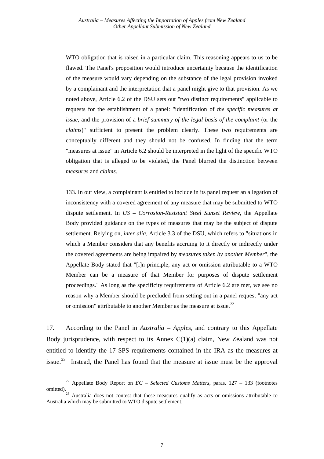WTO obligation that is raised in a particular claim. This reasoning appears to us to be flawed. The Panel's proposition would introduce uncertainty because the identification of the measure would vary depending on the substance of the legal provision invoked by a complainant and the interpretation that a panel might give to that provision. As we noted above, Article 6.2 of the DSU sets out "two distinct requirements" applicable to requests for the establishment of a panel: "identification of *the specific measures at issue*, and the provision of a *brief summary of the legal basis of the complaint* (or the *claims*)" sufficient to present the problem clearly. These two requirements are conceptually different and they should not be confused. In finding that the term "measures at issue" in Article 6.2 should be interpreted in the light of the specific WTO obligation that is alleged to be violated, the Panel blurred the distinction between *measures* and *claims*.

133. In our view, a complainant is entitled to include in its panel request an allegation of inconsistency with a covered agreement of any measure that may be submitted to WTO dispute settlement. In *US – Corrosion-Resistant Steel Sunset Review*, the Appellate Body provided guidance on the types of measures that may be the subject of dispute settlement. Relying on, *inter alia*, Article 3.3 of the DSU, which refers to "situations in which a Member considers that any benefits accruing to it directly or indirectly under the covered agreements are being impaired by *measures taken by another Member*", the Appellate Body stated that "[i]n principle, any act or omission attributable to a WTO Member can be a measure of that Member for purposes of dispute settlement proceedings." As long as the specificity requirements of Article 6.2 are met, we see no reason why a Member should be precluded from setting out in a panel request "any act or omission" attributable to another Member as the measure at issue.<sup>[22](#page-10-0)</sup>

17. According to the Panel in *Australia – Apples,* and contrary to this Appellate Body jurisprudence, with respect to its Annex  $C(1)(a)$  claim, New Zealand was not entitled to identify the 17 SPS requirements contained in the IRA as the measures at issue.<sup>[23](#page-10-1)</sup> Instead, the Panel has found that the measure at issue must be the approval

<span id="page-10-0"></span>22 Appellate Body Report on *EC – Selected Customs Matters*, paras. 127 – 133 (footnotes omitted).<br><sup>23</sup> Australia does not contest that these measures qualify as acts or omissions attributable to

<span id="page-10-1"></span>Australia which may be submitted to WTO dispute settlement.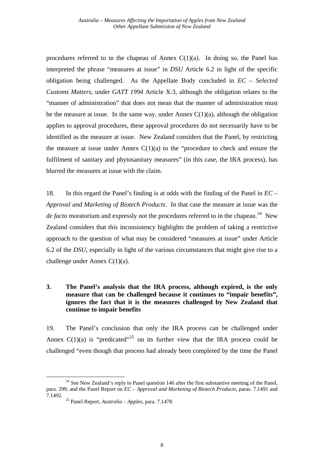<span id="page-11-0"></span>procedures referred to in the chapeau of Annex  $C(1)(a)$ . In doing so, the Panel has interpreted the phrase "measures at issue" in *DSU* Article 6.2 in light of the specific obligation being challenged. As the Appellate Body concluded in *EC – Selected Customs Matters,* under *GATT 1994* Article X:3, although the obligation relates to the "manner of administration" that does not mean that the manner of administration must be the measure at issue. In the same way, under Annex  $C(1)(a)$ , although the obligation applies to approval procedures, these approval procedures do not necessarily have to be identified as the measure at issue. New Zealand considers that the Panel, by restricting the measure at issue under Annex  $C(1)(a)$  to the "procedure to check and ensure the fulfilment of sanitary and phytosanitary measures" (in this case, the IRA process), has blurred the measures at issue with the claim.

18. In this regard the Panel's finding is at odds with the finding of the Panel in *EC – Approval and Marketing of Biotech Products*. In that case the measure at issue was the *de facto* moratorium and expressly not the procedures referred to in the chapeau.<sup>[24](#page-11-1)</sup> New Zealand considers that this inconsistency highlights the problem of taking a restrictive approach to the question of what may be considered "measures at issue" under Article 6.2 of the *DSU*, especially in light of the various circumstances that might give rise to a challenge under Annex C(1)(a).

# **3. The Panel's analysis that the IRA process, although expired, is the only measure that can be challenged because it continues to "impair benefits", ignores the fact that it is the measures challenged by New Zealand that continue to impair benefits**

19. The Panel's conclusion that only the IRA process can be challenged under Annex  $C(1)(a)$  is "predicated"<sup>[25](#page-11-2)</sup> on its further view that the IRA process could be challenged "even though that process had already been completed by the time the Panel

<span id="page-11-2"></span><span id="page-11-1"></span><sup>&</sup>lt;sup>24</sup> See New Zealand's reply to Panel question 146 after the first substantive meeting of the Panel. para. 299; and the Panel Report on *EC – Approval and Marketing of Biotech Products*, paras. 7.1491 and

<sup>7.1492. 25</sup> Panel Report, *Australia – Apples*, para. 7.1478.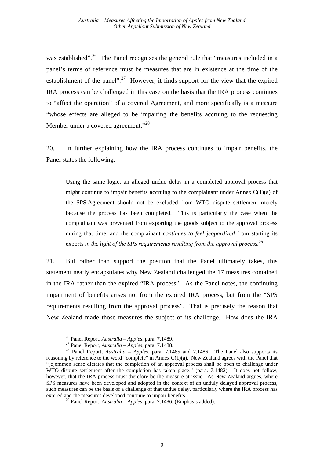was established".<sup>[26](#page-12-0)</sup> The Panel recognises the general rule that "measures included in a panel's terms of reference must be measures that are in existence at the time of the establishment of the panel".<sup>[27](#page-12-1)</sup> However, it finds support for the view that the expired IRA process can be challenged in this case on the basis that the IRA process continues to "affect the operation" of a covered Agreement, and more specifically is a measure "whose effects are alleged to be impairing the benefits accruing to the requesting Member under a covered agreement."<sup>[28](#page-12-2)</sup>

20. In further explaining how the IRA process continues to impair benefits, the Panel states the following:

Using the same logic, an alleged undue delay in a completed approval process that might continue to impair benefits accruing to the complainant under Annex  $C(1)(a)$  of the SPS Agreement should not be excluded from WTO dispute settlement merely because the process has been completed. This is particularly the case when the complainant was prevented from exporting the goods subject to the approval process during that time, and the complainant *continues to feel jeopardized* from starting its exports *in the light of the SPS requirements resulting from the approval process.*[29](#page-12-3)

21. But rather than support the position that the Panel ultimately takes, this statement neatly encapsulates why New Zealand challenged the 17 measures contained in the IRA rather than the expired "IRA process". As the Panel notes, the continuing impairment of benefits arises not from the expired IRA process, but from the "SPS requirements resulting from the approval process". That is precisely the reason that New Zealand made those measures the subject of its challenge. How does the IRA

<span id="page-12-2"></span><span id="page-12-1"></span><span id="page-12-0"></span><sup>&</sup>lt;sup>26</sup> Panel Report, *Australia – Apples*, para. 7.1489.<br><sup>27</sup> Panel Report, *Australia – Apples*, para. 7.1488.<br><sup>28</sup> Panel Report, *Australia – Apples*, para. 7.1485 and 7.1486. The Panel also supports its reasoning by reference to the word "complete" in Annex C(1)(a). New Zealand agrees with the Panel that "[c]ommon sense dictates that the completion of an approval process shall be open to challenge under WTO dispute settlement after the completion has taken place." (para. 7.1482). It does not follow, however, that the IRA process must therefore be the measure at issue. As New Zealand argues, where SPS measures have been developed and adopted in the context of an unduly delayed approval process, such measures can be the basis of a challenge of that undue delay, particularly where the IRA process has expired and the measures developed continue to impair benefits.

<span id="page-12-3"></span><sup>29</sup> Panel Report, *Australia – Apples*, para. 7.1486. (Emphasis added).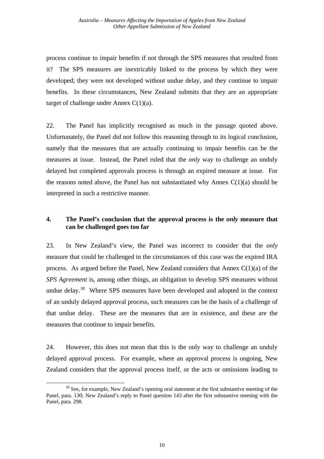<span id="page-13-0"></span>process continue to impair benefits if not through the SPS measures that resulted from it? The SPS measures are inextricably linked to the process by which they were developed; they were not developed without undue delay, and they continue to impair benefits. In these circumstances, New Zealand submits that they are an appropriate target of challenge under Annex  $C(1)(a)$ .

22. The Panel has implicitly recognised as much in the passage quoted above. Unfortunately, the Panel did not follow this reasoning through to its logical conclusion, namely that the measures that are actually continuing to impair benefits can be the measures at issue. Instead, the Panel ruled that the *only* way to challenge an unduly delayed but completed approvals process is through an expired measure at issue. For the reasons noted above, the Panel has not substantiated why Annex  $C(1)(a)$  should be interpreted in such a restrictive manner.

# **4. The Panel's conclusion that the approval process is the** *only* **measure that can be challenged goes too far**

23. In New Zealand's view, the Panel was incorrect to consider that the *only* measure that could be challenged in the circumstances of this case was the expired IRA process. As argued before the Panel, New Zealand considers that Annex C(1)(a) of the *SPS Agreement* is, among other things, an obligation to develop SPS measures without undue delay.<sup>[30](#page-13-1)</sup> Where SPS measures have been developed and adopted in the context of an unduly delayed approval process, such measures can be the basis of a challenge of that undue delay. These are the measures that are in existence, and these are the measures that continue to impair benefits.

24. However, this does not mean that this is the only way to challenge an unduly delayed approval process. For example, where an approval process is ongoing, New Zealand considers that the approval process itself, or the acts or omissions leading to

<span id="page-13-1"></span> $30$  See, for example, New Zealand's opening oral statement at the first substantive meeting of the Panel, para. 130; New Zealand's reply to Panel question 143 after the first substantive meeting with the Panel, para. 298.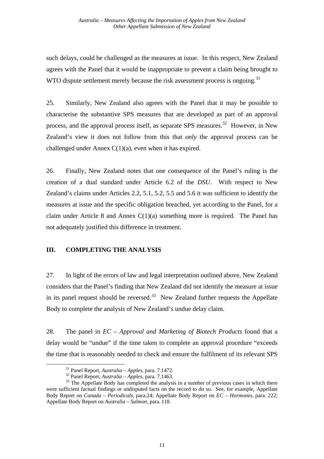<span id="page-14-0"></span>such delays, could be challenged as the measures at issue. In this respect, New Zealand agrees with the Panel that it would be inappropriate to prevent a claim being brought to WTO dispute settlement merely because the risk assessment process is ongoing.<sup>[31](#page-14-1)</sup>

25. Similarly, New Zealand also agrees with the Panel that it may be possible to characterise the substantive SPS measures that are developed as part of an approval process, and the approval process itself, as separate SPS measures.<sup>[32](#page-14-2)</sup> However, in New Zealand's view it does not follow from this that *only* the approval process can be challenged under Annex  $C(1)(a)$ , even when it has expired.

26. Finally, New Zealand notes that one consequence of the Panel's ruling is the creation of a dual standard under Article 6.2 of the *DSU*. With respect to New Zealand's claims under Articles 2.2, 5.1, 5.2, 5.5 and 5.6 it was sufficient to identify the measures at issue and the specific obligation breached, yet according to the Panel, for a claim under Article 8 and Annex  $C(1)(a)$  something more is required. The Panel has not adequately justified this difference in treatment.

## **III. COMPLETING THE ANALYSIS**

27. In light of the errors of law and legal interpretation outlined above, New Zealand considers that the Panel's finding that New Zealand did not identify the measure at issue in its panel request should be reversed.<sup>[33](#page-14-3)</sup> New Zealand further requests the Appellate Body to complete the analysis of New Zealand's undue delay claim.

28. The panel in *EC – Approval and Marketing of Biotech Products* found that a delay would be "undue" if the time taken to complete an approval procedure "exceeds the time that is reasonably needed to check and ensure the fulfilment of its relevant SPS

<span id="page-14-3"></span><span id="page-14-2"></span><span id="page-14-1"></span><sup>&</sup>lt;sup>31</sup> Panel Report, *Australia – Apples*, para. 7.1472.<br><sup>32</sup> Panel Report, *Australia – Apples*, para. 7.1463.<br><sup>33</sup> The Appellate Body has completed the analysis in a number of previous cases in which there were sufficient factual findings or undisputed facts on the record to do so. See, for example, Appellate Body Report on *Canada – Periodicals,* para.24; Appellate Body Report on *EC – Hormones*, para. 222; Appellate Body Report on *Australia – Salmon*, para. 118.